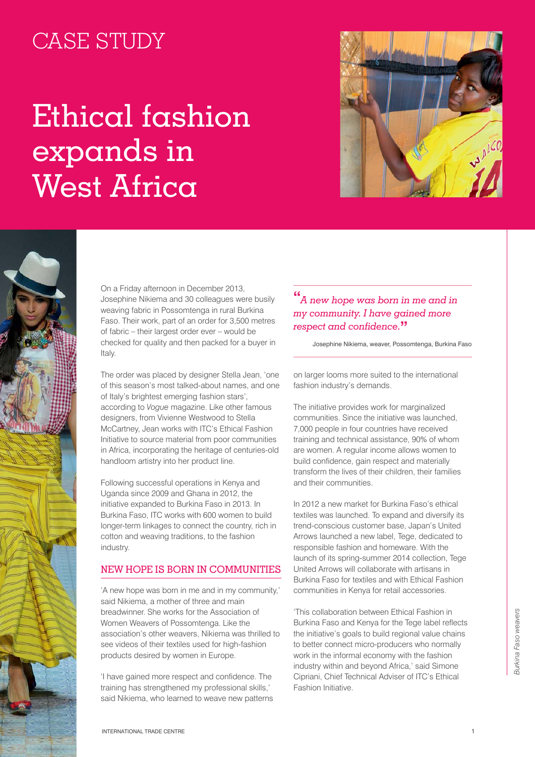# CASE STUDY

# Ethical fashion expands in West Africa





On a Friday afternoon in December 2013, Josephine Nikiema and 30 colleagues were busily weaving fabric in Possomtenga in rural Burkina Faso. Their work, part of an order for 3,500 metres of fabric – their largest order ever – would be checked for quality and then packed for a buyer in Italy.

The order was placed by designer Stella Jean, 'one of this season's most talked-about names, and one of Italy's brightest emerging fashion stars', according to *Vogue* magazine. Like other famous designers, from Vivienne Westwood to Stella McCartney, Jean works with ITC's Ethical Fashion Initiative to source material from poor communities in Africa, incorporating the heritage of centuries-old handloom artistry into her product line.

Following successful operations in Kenya and Uganda since 2009 and Ghana in 2012, the initiative expanded to Burkina Faso in 2013. In Burkina Faso, ITC works with 600 women to build longer-term linkages to connect the country, rich in cotton and weaving traditions, to the fashion industry.

## New hope is born in communities

'A new hope was born in me and in my community,' said Nikiema, a mother of three and main breadwinner. She works for the Association of Women Weavers of Possomtenga. Like the association's other weavers, Nikiema was thrilled to see videos of their textiles used for high-fashion products desired by women in Europe.

'I have gained more respect and confidence. The training has strengthened my professional skills,' said Nikiema, who learned to weave new patterns

# **"** *A new hope was born in me and in my community. I have gained more respect and confidence.***"**

Josephine Nikiema, weaver, Possomtenga, Burkina Faso

on larger looms more suited to the international fashion industry's demands.

The initiative provides work for marginalized communities. Since the initiative was launched, 7,000 people in four countries have received training and technical assistance, 90% of whom are women. A regular income allows women to build confidence, gain respect and materially transform the lives of their children, their families and their communities.

In 2012 a new market for Burkina Faso's ethical textiles was launched. To expand and diversify its trend-conscious customer base, Japan's United Arrows launched a new label, Tege, dedicated to responsible fashion and homeware. With the launch of its spring-summer 2014 collection, Tege United Arrows will collaborate with artisans in Burkina Faso for textiles and with Ethical Fashion communities in Kenya for retail accessories.

'This collaboration between Ethical Fashion in Burkina Faso and Kenya for the Tege label reflects the initiative's goals to build regional value chains to better connect micro-producers who normally work in the informal economy with the fashion industry within and beyond Africa,' said Simone Cipriani, Chief Technical Adviser of ITC's Ethical Fashion Initiative.